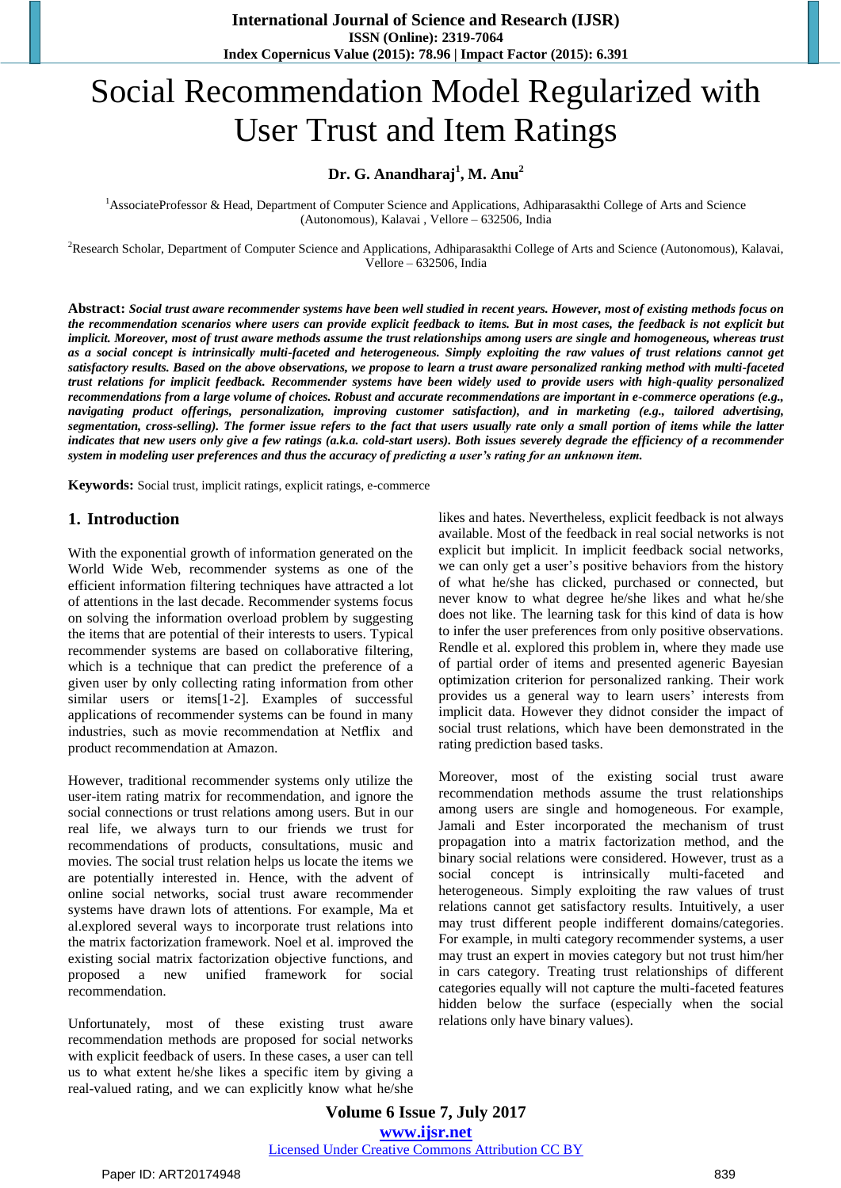# Social Recommendation Model Regularized with User Trust and Item Ratings

# **Dr. G. Anandharaj<sup>1</sup> , M. Anu<sup>2</sup>**

<sup>1</sup>AssociateProfessor & Head, Department of Computer Science and Applications, Adhiparasakthi College of Arts and Science (Autonomous), Kalavai , Vellore – 632506, India

<sup>2</sup>Research Scholar, Department of Computer Science and Applications, Adhiparasakthi College of Arts and Science (Autonomous), Kalavai, Vellore – 632506, India

**Abstract:** *Social trust aware recommender systems have been well studied in recent years. However, most of existing methods focus on the recommendation scenarios where users can provide explicit feedback to items. But in most cases, the feedback is not explicit but implicit. Moreover, most of trust aware methods assume the trust relationships among users are single and homogeneous, whereas trust as a social concept is intrinsically multi-faceted and heterogeneous. Simply exploiting the raw values of trust relations cannot get satisfactory results. Based on the above observations, we propose to learn a trust aware personalized ranking method with multi-faceted trust relations for implicit feedback. Recommender systems have been widely used to provide users with high-quality personalized recommendations from a large volume of choices. Robust and accurate recommendations are important in e-commerce operations (e.g., navigating product offerings, personalization, improving customer satisfaction), and in marketing (e.g., tailored advertising, segmentation, cross-selling). The former issue refers to the fact that users usually rate only a small portion of items while the latter indicates that new users only give a few ratings (a.k.a. cold-start users). Both issues severely degrade the efficiency of a recommender system in modeling user preferences and thus the accuracy of predicting a user's rating for an unknown item.*

**Keywords:** Social trust, implicit ratings, explicit ratings, e-commerce

# **1. Introduction**

With the exponential growth of information generated on the World Wide Web, recommender systems as one of the efficient information filtering techniques have attracted a lot of attentions in the last decade. Recommender systems focus on solving the information overload problem by suggesting the items that are potential of their interests to users. Typical recommender systems are based on collaborative filtering, which is a technique that can predict the preference of a given user by only collecting rating information from other similar users or items[1-2]. Examples of successful applications of recommender systems can be found in many industries, such as movie recommendation at Netflix and product recommendation at Amazon.

However, traditional recommender systems only utilize the user-item rating matrix for recommendation, and ignore the social connections or trust relations among users. But in our real life, we always turn to our friends we trust for recommendations of products, consultations, music and movies. The social trust relation helps us locate the items we are potentially interested in. Hence, with the advent of online social networks, social trust aware recommender systems have drawn lots of attentions. For example, Ma et al.explored several ways to incorporate trust relations into the matrix factorization framework. Noel et al. improved the existing social matrix factorization objective functions, and proposed a new unified framework for social recommendation.

Unfortunately, most of these existing trust aware recommendation methods are proposed for social networks with explicit feedback of users. In these cases, a user can tell us to what extent he/she likes a specific item by giving a real-valued rating, and we can explicitly know what he/she likes and hates. Nevertheless, explicit feedback is not always available. Most of the feedback in real social networks is not explicit but implicit. In implicit feedback social networks, we can only get a user's positive behaviors from the history of what he/she has clicked, purchased or connected, but never know to what degree he/she likes and what he/she does not like. The learning task for this kind of data is how to infer the user preferences from only positive observations. Rendle et al. explored this problem in, where they made use of partial order of items and presented ageneric Bayesian optimization criterion for personalized ranking. Their work provides us a general way to learn users' interests from implicit data. However they didnot consider the impact of social trust relations, which have been demonstrated in the rating prediction based tasks.

Moreover, most of the existing social trust aware recommendation methods assume the trust relationships among users are single and homogeneous. For example, Jamali and Ester incorporated the mechanism of trust propagation into a matrix factorization method, and the binary social relations were considered. However, trust as a social concept is intrinsically multi-faceted and heterogeneous. Simply exploiting the raw values of trust relations cannot get satisfactory results. Intuitively, a user may trust different people indifferent domains/categories. For example, in multi category recommender systems, a user may trust an expert in movies category but not trust him/her in cars category. Treating trust relationships of different categories equally will not capture the multi-faceted features hidden below the surface (especially when the social relations only have binary values).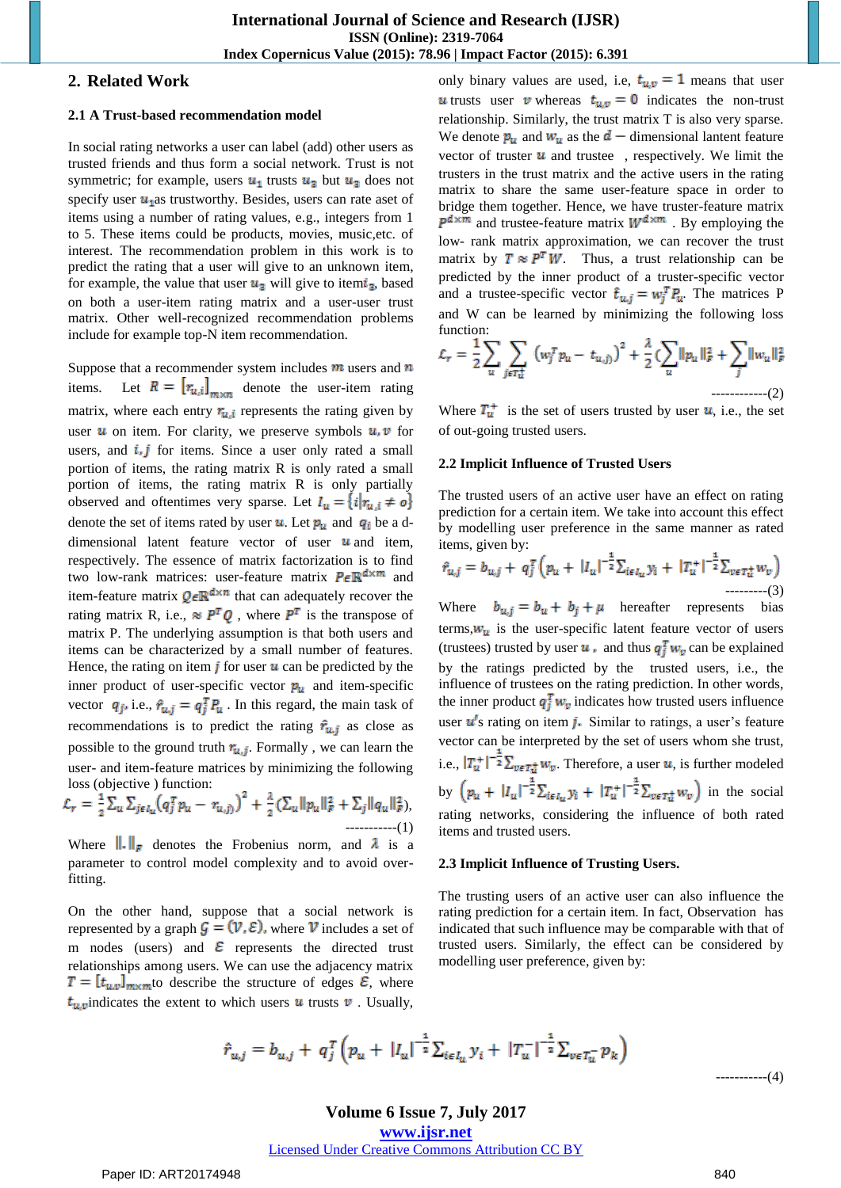# **2. Related Work**

### **2.1 A Trust-based recommendation model**

In social rating networks a user can label (add) other users as trusted friends and thus form a social network. Trust is not symmetric; for example, users  $u_1$  trusts  $u_2$  but  $u_3$  does not specify user  $u_1$  as trustworthy. Besides, users can rate aset of items using a number of rating values, e.g., integers from 1 to 5. These items could be products, movies, music,etc. of interest. The recommendation problem in this work is to predict the rating that a user will give to an unknown item, for example, the value that user  $u_3$  will give to item $i_3$ , based on both a user-item rating matrix and a user-user trust matrix. Other well-recognized recommendation problems include for example top-N item recommendation.

Suppose that a recommender system includes  $m$  users and  $n$ items. Let  $R = [r_{u,i}]_{m \times n}$  denote the user-item rating matrix, where each entry  $r_{u,i}$  represents the rating given by user  $\boldsymbol{u}$  on item. For clarity, we preserve symbols  $\boldsymbol{u}, \boldsymbol{v}$  for users, and  $\mathbf{i}$ ,  $\mathbf{j}$  for items. Since a user only rated a small portion of items, the rating matrix R is only rated a small portion of items, the rating matrix R is only partially observed and oftentimes very sparse. Let  $I_u = \{i | r_{u,i} \neq o\}$ denote the set of items rated by user  $u$ . Let  $p_u$  and  $q_i$  be a ddimensional latent feature vector of user  $\boldsymbol{u}$  and item, respectively. The essence of matrix factorization is to find two low-rank matrices: user-feature matrix  $P \in \mathbb{R}^{d \times m}$  and item-feature matrix  $\mathbf{Q} \in \mathbb{R}^{d \times n}$  that can adequately recover the rating matrix R, i.e.,  $\approx P^TQ$ , where  $P^T$  is the transpose of matrix P. The underlying assumption is that both users and items can be characterized by a small number of features. Hence, the rating on item  $\boldsymbol{j}$  for user  $\boldsymbol{u}$  can be predicted by the inner product of user-specific vector  $p_u$  and item-specific vector  $q_{j}$ , i.e.,  $\hat{r}_{u,j} = q_j^T P_u$ . In this regard, the main task of recommendations is to predict the rating  $\hat{r}_{u,j}$  as close as possible to the ground truth  $r_{u,j}$ . Formally, we can learn the user- and item-feature matrices by minimizing the following loss (objective ) function:

$$
\mathcal{L}_r = \frac{1}{2} \sum_u \sum_{j \in I_u} \left( q_j^T p_u - r_{u,j} \right)^2 + \frac{\lambda}{2} \left( \sum_u ||p_u||_F^2 + \sum_j ||q_u||_F^2 \right),
$$

Where  $\|\cdot\|_F$  denotes the Frobenius norm, and  $\lambda$  is a parameter to control model complexity and to avoid overfitting.

On the other hand, suppose that a social network is represented by a graph  $\mathcal{G} = (\mathcal{V}, \mathcal{E})$ , where  $\mathcal V$  includes a set of m nodes (users) and  $\epsilon$  represents the directed trust relationships among users. We can use the adjacency matrix  $T = [t_{u,v}]_{m \times m}$  to describe the structure of edges  $\mathcal{E}$ , where  $t_{u,v}$  indicates the extent to which users **u** trusts **v**. Usually,

only binary values are used, i.e,  $t_{u,v} = 1$  means that user **u** trusts user **v** whereas  $t_{u,v} = 0$  indicates the non-trust relationship. Similarly, the trust matrix T is also very sparse. We denote  $p_u$  and  $w_u$  as the  $d$  – dimensional lantent feature vector of truster  $\boldsymbol{u}$  and trustee, respectively. We limit the trusters in the trust matrix and the active users in the rating matrix to share the same user-feature space in order to bridge them together. Hence, we have truster-feature matrix  $P^{d \times m}$  and trustee-feature matrix  $W^{d \times m}$ . By employing the low- rank matrix approximation, we can recover the trust matrix by  $T \approx P^T W$ . Thus, a trust relationship can be predicted by the inner product of a truster-specific vector and a trustee-specific vector  $\hat{\mathbf{t}}_{u,j} = w_j^T P_u$ . The matrices P and W can be learned by minimizing the following loss function:

$$
\mathcal{L}_{r} = \frac{1}{2} \sum_{u} \sum_{j \in T_{u}^+} \left( w_j^T p_u - t_{u,j} \right)^2 + \frac{\lambda}{2} \left( \sum_{u} ||p_u||_F^2 + \sum_{j} ||w_u||_F^2 \right)
$$

Where  $T_u^+$  is the set of users trusted by user  $u$ , i.e., the set of out-going trusted users.

#### **2.2 Implicit Influence of Trusted Users**

The trusted users of an active user have an effect on rating prediction for a certain item. We take into account this effect by modelling user preference in the same manner as rated items, given by:

$$
\hat{r}_{u,j} = b_{u,j} + q_j^T \left( p_u + |I_u|^{-\frac{1}{2}} \Sigma_{i \in I_u} y_i + |T_u^+|^{-\frac{1}{2}} \Sigma_{v \in T_u^+} w_v \right) \tag{3}
$$

Where  $b_{u,j} = b_u + b_j + \mu$  hereafter represents bias terms, $w_u$  is the user-specific latent feature vector of users (trustees) trusted by user  $u$ , and thus  $q_i^T w_n$  can be explained by the ratings predicted by the trusted users, i.e., the influence of trustees on the rating prediction. In other words, the inner product  $q_i^T w_v$  indicates how trusted users influence user  $u'$ s rating on item j. Similar to ratings, a user's feature vector can be interpreted by the set of users whom she trust, i.e.,  $|T_u^+|^{-\frac{1}{2}}\sum_{v\in T_u^+} w_v$ . Therefore, a user  $u$ , is further modeled by  $\left(p_u + |I_u|^{-\frac{1}{2}} \sum_{i \in I_u} y_i + |T_u^+|^{-\frac{1}{2}} \sum_{v \in T_u^+} w_v\right)$  in the social rating networks, considering the influence of both rated items and trusted users.

#### **2.3 Implicit Influence of Trusting Users.**

The trusting users of an active user can also influence the rating prediction for a certain item. In fact, Observation has indicated that such influence may be comparable with that of trusted users. Similarly, the effect can be considered by modelling user preference, given by:

$$
\hat{r}_{u,j} = b_{u,j} + q_j^T \left( p_u + |I_u|^{-\frac{1}{2}} \sum_{i \in I_u} y_i + |T_u|^{-\frac{1}{2}} \sum_{v \in T_u} p_v \right)
$$

-----------(4)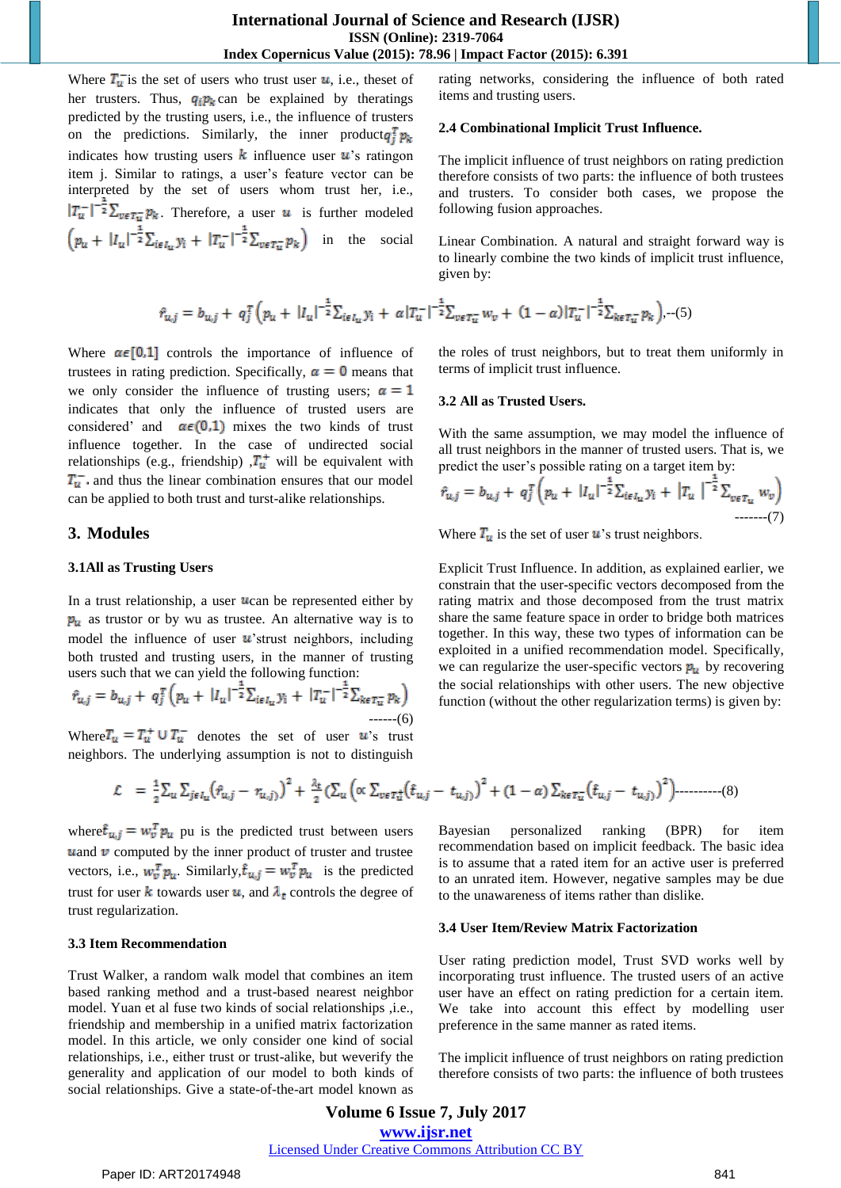Where  $T_u^-$  is the set of users who trust user  $u$ , i.e., theset of her trusters. Thus,  $q_i p_k$  can be explained by theratings predicted by the trusting users, i.e., the influence of trusters on the predictions. Similarly, the inner product  $q_i^T p_k$ indicates how trusting users  $k$  influence user  $\mathbf{u}$ 's ratingon item j. Similar to ratings, a user's feature vector can be interpreted by the set of users whom trust her, i.e.,  $|T_u^-|^{-\frac{1}{2}}\sum_{v\in T_u^-} p_k$ . Therefore, a user **u** is further modeled  $\left(p_u + |I_u|^{-\frac{1}{2}} \sum_{i \in I_u} y_i + |T_u|^{-\frac{1}{2}} \sum_{v \in T_u} p_k\right)$  in the social

 $\hat{r}_{u,i} = b_{u,i} + q_i^T (p_u + |I_u|^{-\frac{1}{2}} \sum_{i \in I_u} y_i + \alpha |T_u|^{-\frac{1}{2}} \sum_{v \in T_u} w_v + (1 - \alpha) |T_u|^{-\frac{1}{2}} \sum_{k \in T_u} p_k)$ ,--(5)

Where  $\alpha \in [0,1]$  controls the importance of influence of trustees in rating prediction. Specifically,  $\alpha = 0$  means that we only consider the influence of trusting users;  $\alpha = 1$ indicates that only the influence of trusted users are considered' and  $\alpha \in (0,1)$  mixes the two kinds of trust influence together. In the case of undirected social relationships (e.g., friendship)  $T_u^+$  will be equivalent with  $T_u^-$  and thus the linear combination ensures that our model can be applied to both trust and turst-alike relationships.

## **3. Modules**

#### **3.1All as Trusting Users**

In a trust relationship, a user  $u$ can be represented either by  $p_u$  as trustor or by wu as trustee. An alternative way is to model the influence of user  $\boldsymbol{u}$ 'strust neighbors, including both trusted and trusting users, in the manner of trusting users such that we can yield the following function:

$$
\hat{r}_{u,j} = b_{u,j} + q_j^T \left( p_u + |I_u|^{-\frac{1}{2}} \Sigma_{i \in I_u} y_i + |T_u^-|^{-\frac{1}{2}} \Sigma_{k \in T_u^-} p_k \right) \tag{6}
$$

Where  $T_u = T_u^+ \cup T_u^-$  denotes the set of user  $u$ 's trust neighbors. The underlying assumption is not to distinguish

$$
\mathcal{L} = \frac{1}{2} \sum_{u} \sum_{j \in I_u} (\hat{r}_{u,j} - r_{u,j})^2 + \frac{\lambda_t}{2} (\sum_{u} (\alpha \sum_{v \in T_u^+} (\hat{t}_{u,j} - t_{u,j}))^2 + (1 - \alpha) \sum_{k \in T_u^-} (\hat{t}_{u,j} - t_{u,j}))^2 \right) \dots \dots \dots (8)
$$

where  $\hat{t}_{u,i} = w_v^T p_u$  pu is the predicted trust between users  $u$  and  $v$  computed by the inner product of truster and trustee vectors, i.e.,  $w_v^T p_u$ . Similarly,  $\hat{t}_{u,i} = w_v^T p_u$  is the predicted trust for user **k** towards user **u**, and  $\lambda_t$  controls the degree of trust regularization.

#### **3.3 Item Recommendation**

Trust Walker, a random walk model that combines an item based ranking method and a trust-based nearest neighbor model. Yuan et al fuse two kinds of social relationships ,i.e., friendship and membership in a unified matrix factorization model. In this article, we only consider one kind of social relationships, i.e., either trust or trust-alike, but weverify the generality and application of our model to both kinds of social relationships. Give a state-of-the-art model known as

rating networks, considering the influence of both rated items and trusting users.

#### **2.4 Combinational Implicit Trust Influence.**

The implicit influence of trust neighbors on rating prediction therefore consists of two parts: the influence of both trustees and trusters. To consider both cases, we propose the following fusion approaches.

Linear Combination. A natural and straight forward way is to linearly combine the two kinds of implicit trust influence, given by:

the roles of trust neighbors, but to treat them uniformly in terms of implicit trust influence.

#### **3.2 All as Trusted Users.**

With the same assumption, we may model the influence of all trust neighbors in the manner of trusted users. That is, we predict the user's possible rating on a target item by:

$$
\hat{r}_{u,j} = b_{u,j} + q_j^T \left( p_u + |I_u|^{-\frac{1}{2}} \Sigma_{i \in I_u} y_i + |T_u|^{-\frac{1}{2}} \Sigma_{v \in T_u} w_v \right) \tag{7}
$$

Where  $T_u$  is the set of user  $u$ 's trust neighbors.

Explicit Trust Influence. In addition, as explained earlier, we constrain that the user-specific vectors decomposed from the rating matrix and those decomposed from the trust matrix share the same feature space in order to bridge both matrices together. In this way, these two types of information can be exploited in a unified recommendation model. Specifically, we can regularize the user-specific vectors  $p_u$  by recovering the social relationships with other users. The new objective function (without the other regularization terms) is given by:

Bayesian personalized ranking (BPR) for item recommendation based on implicit feedback. The basic idea is to assume that a rated item for an active user is preferred to an unrated item. However, negative samples may be due to the unawareness of items rather than dislike.

#### **3.4 User Item/Review Matrix Factorization**

User rating prediction model, Trust SVD works well by incorporating trust influence. The trusted users of an active user have an effect on rating prediction for a certain item. We take into account this effect by modelling user preference in the same manner as rated items.

The implicit influence of trust neighbors on rating prediction therefore consists of two parts: the influence of both trustees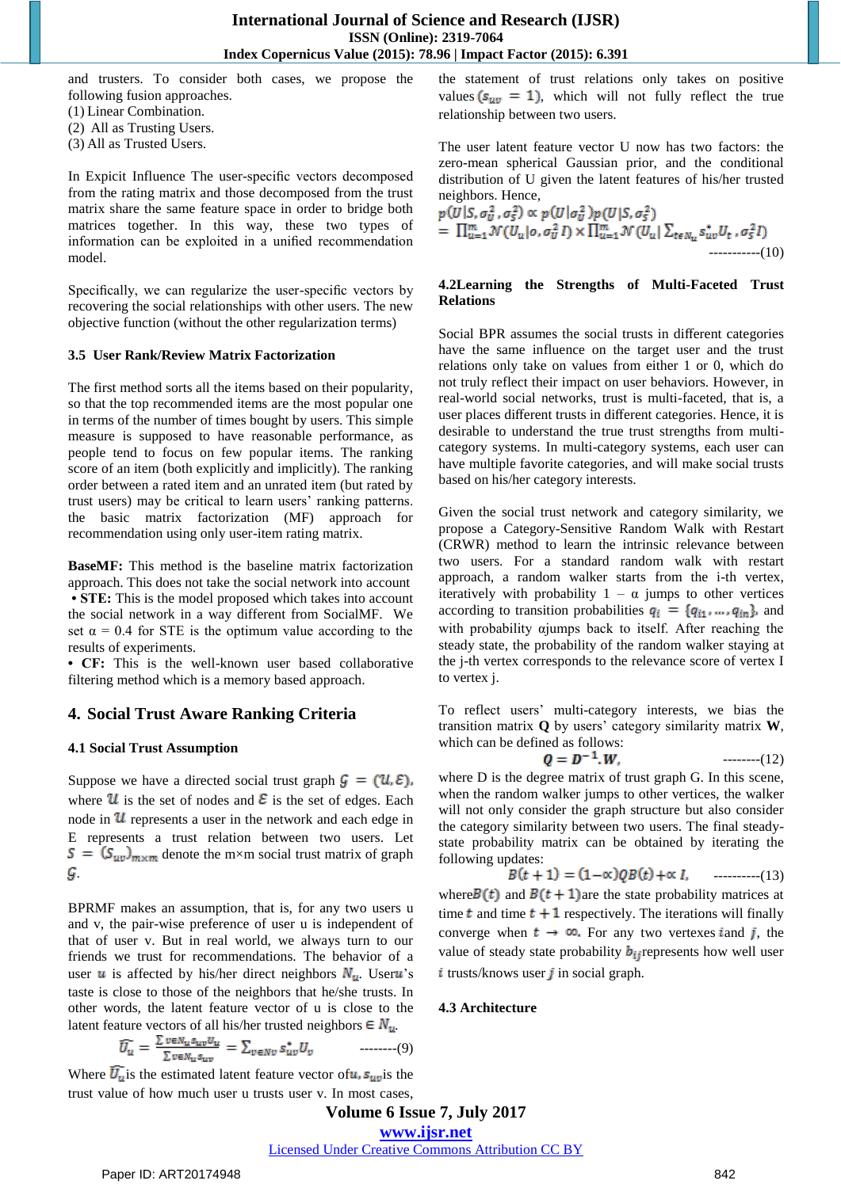and trusters. To consider both cases, we propose the following fusion approaches.

- (1) Linear Combination.
- (2) All as Trusting Users.
- (3) All as Trusted Users.

In Expicit Influence The user-specific vectors decomposed from the rating matrix and those decomposed from the trust matrix share the same feature space in order to bridge both matrices together. In this way, these two types of information can be exploited in a unified recommendation model.

Specifically, we can regularize the user-specific vectors by recovering the social relationships with other users. The new objective function (without the other regularization terms)

## **3.5 User Rank/Review Matrix Factorization**

The first method sorts all the items based on their popularity, so that the top recommended items are the most popular one in terms of the number of times bought by users. This simple measure is supposed to have reasonable performance, as people tend to focus on few popular items. The ranking score of an item (both explicitly and implicitly). The ranking order between a rated item and an unrated item (but rated by trust users) may be critical to learn users' ranking patterns. the basic matrix factorization (MF) approach for recommendation using only user-item rating matrix.

**BaseMF:** This method is the baseline matrix factorization approach. This does not take the social network into account **• STE:** This is the model proposed which takes into account the social network in a way different from SocialMF. We set  $\alpha = 0.4$  for STE is the optimum value according to the results of experiments.

**• CF:** This is the well-known user based collaborative filtering method which is a memory based approach.

# **4. Social Trust Aware Ranking Criteria**

## **4.1 Social Trust Assumption**

Suppose we have a directed social trust graph  $\mathcal{G} = (\mathcal{U}, \mathcal{E})$ , where  $\mathbf{u}$  is the set of nodes and  $\boldsymbol{\varepsilon}$  is the set of edges. Each node in  $u$  represents a user in the network and each edge in E represents a trust relation between two users. Let  $S = (S_{uv})_{m \times m}$  denote the m×m social trust matrix of graph .

BPRMF makes an assumption, that is, for any two users u and v, the pair-wise preference of user u is independent of that of user v. But in real world, we always turn to our friends we trust for recommendations. The behavior of a user  $\bf{u}$  is affected by his/her direct neighbors  $N_{\bf{u}}$ . User $\bf{u}$ 's taste is close to those of the neighbors that he/she trusts. In other words, the latent feature vector of u is close to the latent feature vectors of all his/her trusted neighbors  $\in N_u$ .

$$
\overline{U_u} = \frac{\sum v \in N_u s_{uv} U_u}{\sum v \in N_u s_{uv}} = \sum_{v \in Nv} s_{uv}^* U_v \qquad \qquad \ldots \ldots \ldots \ldots (9)
$$

Where  $\overline{U_u}$  is the estimated latent feature vector of  $u$ ,  $s_{uv}$  is the trust value of how much user u trusts user v. In most cases, the statement of trust relations only takes on positive values  $(s_{uv} = 1)$ , which will not fully reflect the true relationship between two users.

The user latent feature vector U now has two factors: the zero-mean spherical Gaussian prior, and the conditional distribution of U given the latent features of his/her trusted neighbors. Hence,

$$
p(U|S, \sigma_U^2, \sigma_S^2) \propto p(U|\sigma_U^2)p(U|S, \sigma_S^2)
$$
  
=  $\prod_{u=1}^m \mathcal{N}(U_u|\sigma, \sigma_U^2 I) \times \prod_{u=1}^m \mathcal{N}(U_u|\sum_{t \in N_u} s_{uv}^* U_t, \sigma_S^2 I)$ 

## **4.2Learning the Strengths of Multi-Faceted Trust Relations**

Social BPR assumes the social trusts in different categories have the same influence on the target user and the trust relations only take on values from either 1 or 0, which do not truly reflect their impact on user behaviors. However, in real-world social networks, trust is multi-faceted, that is, a user places different trusts in different categories. Hence, it is desirable to understand the true trust strengths from multicategory systems. In multi-category systems, each user can have multiple favorite categories, and will make social trusts based on his/her category interests.

Given the social trust network and category similarity, we propose a Category-Sensitive Random Walk with Restart (CRWR) method to learn the intrinsic relevance between two users. For a standard random walk with restart approach, a random walker starts from the i-th vertex, iteratively with probability  $1 - \alpha$  jumps to other vertices according to transition probabilities  $q_i = \{q_{i1}, \dots, q_{in}\}\$ , and with probability αjumps back to itself. After reaching the steady state, the probability of the random walker staying at the j-th vertex corresponds to the relevance score of vertex I to vertex j.

To reflect users' multi-category interests, we bias the transition matrix **Q** by users' category similarity matrix **W**, which can be defined as follows:

$$
Q = D^{-1}.W, \tag{12}
$$

where D is the degree matrix of trust graph G. In this scene, when the random walker jumps to other vertices, the walker will not only consider the graph structure but also consider the category similarity between two users. The final steadystate probability matrix can be obtained by iterating the following updates:

 $B(t + 1) = (1 - \alpha)QB(t) + \alpha I,$  ...........(13) where  $B(t)$  and  $B(t + 1)$  are the state probability matrices at time **t** and time  $t + 1$  respectively. The iterations will finally converge when  $t \to \infty$ . For any two vertexes iand j, the value of steady state probability  $b_{ij}$  represents how well user  $\mathbf{i}$  trusts/knows user  $\mathbf{j}$  in social graph.

## **4.3 Architecture**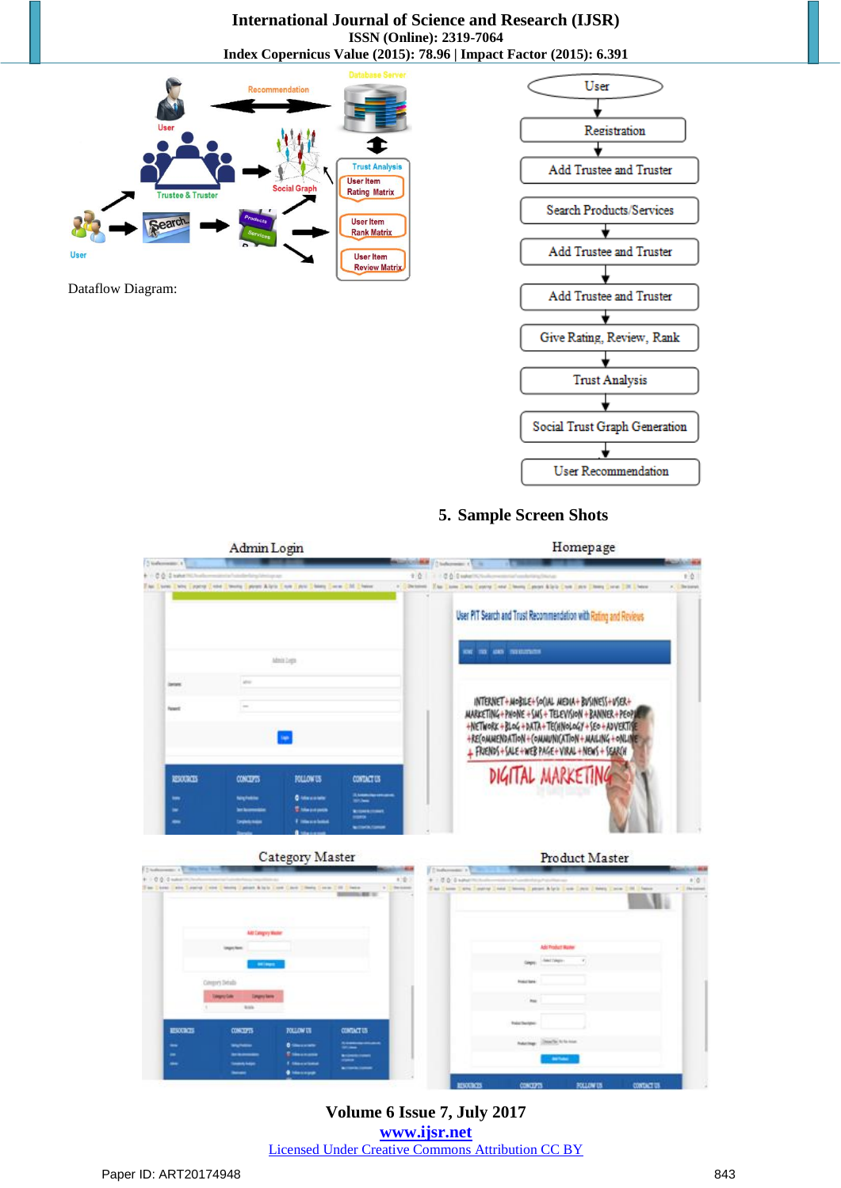# **International Journal of Science and Research (IJSR) ISSN (Online): 2319-7064 Index Copernicus Value (2015): 78.96 | Impact Factor (2015): 6.391**



Dataflow Diagram:



**5. Sample Screen Shots**



| Charlement: (T. We hive this                                                       |                                                                                    |                                                                                  |                                                  |                 | Trindemonton #T<br>. . |                                    |                                                                         |                   |
|------------------------------------------------------------------------------------|------------------------------------------------------------------------------------|----------------------------------------------------------------------------------|--------------------------------------------------|-----------------|------------------------|------------------------------------|-------------------------------------------------------------------------|-------------------|
| $+ 0.001$ G minutes (m)                                                            |                                                                                    |                                                                                  |                                                  | 4. 金区           | $+ 1000$ Maturity Ave. |                                    | <b>Astrophical Markets</b>                                              | $n$ (d)           |
| The Lines Line Loang Cross Cleany Langs & late Line Cleve Cleany Corps City Cleans |                                                                                    |                                                                                  | <b>SEMINATE V.</b>                               | $0$ . The based |                        |                                    | The Term Twin Term Term Terms Terms Air's Tem Term Term Term Till Terms | v Heisen          |
|                                                                                    | Add Company Moder                                                                  |                                                                                  |                                                  |                 |                        |                                    |                                                                         |                   |
|                                                                                    | <b>Ungan Rent</b>                                                                  |                                                                                  |                                                  |                 |                        |                                    | Add Product Master                                                      |                   |
|                                                                                    | <b>SHOW:</b>                                                                       |                                                                                  |                                                  |                 |                        |                                    | Med Tylegro                                                             |                   |
|                                                                                    | Consort Details                                                                    |                                                                                  |                                                  |                 |                        | <b><i><u>biskelbank</u></i></b>    |                                                                         |                   |
|                                                                                    | <b>Ungers Same</b><br>to an                                                        |                                                                                  |                                                  |                 |                        | <b>But</b>                         |                                                                         |                   |
| EIXORES                                                                            | CONCEPTS                                                                           | POLLOW US                                                                        | CONTACT US                                       |                 |                        | <b><i><u>Point Tentate</u></i></b> |                                                                         |                   |
| -<br>m.                                                                            | <b>Walter</b><br><b>MARINEZ</b><br><b>Search Adapt</b><br>$\overline{\phantom{a}}$ | <b>Dimension</b><br><b>T</b> Meanweal<br><b>F-Insertime</b><br><b>O</b> Mexicous | $rac{1}{2}$<br>$\frac{1}{2}$<br><b>ACCORDING</b> |                 |                        | Robertiman                         | beautiful for factories<br><b>SATIONAL</b>                              |                   |
|                                                                                    |                                                                                    |                                                                                  |                                                  |                 | <b>RESOURCES</b>       | <b>CONCEPTS</b>                    | <b>DOLLOWIN</b>                                                         | <b>CONTACT US</b> |